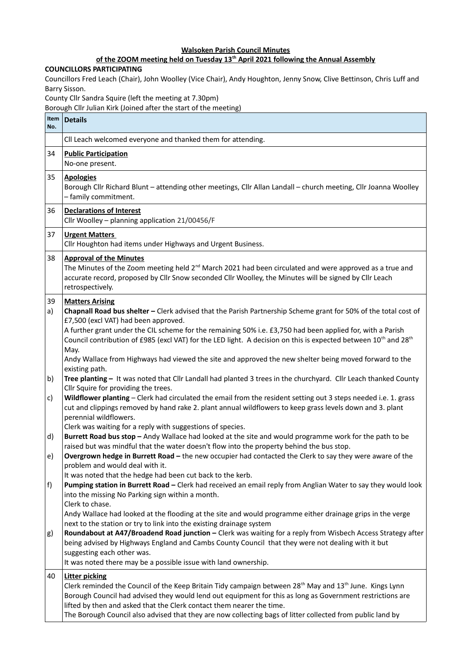## **Walsoken Parish Council Minutes**

## of the ZOOM meeting held on Tuesday 13<sup>th</sup> April 2021 following the Annual Assembly

## **COUNCILLORS PARTICIPATING**

Councillors Fred Leach (Chair), John Woolley (Vice Chair), Andy Houghton, Jenny Snow, Clive Bettinson, Chris Luff and Barry Sisson.

County Cllr Sandra Squire (left the meeting at 7.30pm)

Borough Cllr Julian Kirk (Joined after the start of the meeting)

| Item<br>No. | <b>Details</b>                                                                                                                                                                                                                                                                                                                                                                                                                                                                                          |
|-------------|---------------------------------------------------------------------------------------------------------------------------------------------------------------------------------------------------------------------------------------------------------------------------------------------------------------------------------------------------------------------------------------------------------------------------------------------------------------------------------------------------------|
|             | Cll Leach welcomed everyone and thanked them for attending.                                                                                                                                                                                                                                                                                                                                                                                                                                             |
| 34          | <b>Public Participation</b><br>No-one present.                                                                                                                                                                                                                                                                                                                                                                                                                                                          |
| 35          | <b>Apologies</b><br>Borough Cllr Richard Blunt - attending other meetings, Cllr Allan Landall - church meeting, Cllr Joanna Woolley<br>- family commitment.                                                                                                                                                                                                                                                                                                                                             |
| 36          | <b>Declarations of Interest</b><br>Cllr Woolley - planning application 21/00456/F                                                                                                                                                                                                                                                                                                                                                                                                                       |
| 37          | <b>Urgent Matters</b><br>Cllr Houghton had items under Highways and Urgent Business.                                                                                                                                                                                                                                                                                                                                                                                                                    |
| 38          | <b>Approval of the Minutes</b><br>The Minutes of the Zoom meeting held $2nd$ March 2021 had been circulated and were approved as a true and<br>accurate record, proposed by Cllr Snow seconded Cllr Woolley, the Minutes will be signed by Cllr Leach<br>retrospectively.                                                                                                                                                                                                                               |
| 39<br>a)    | <b>Matters Arising</b><br>Chapnall Road bus shelter - Clerk advised that the Parish Partnership Scheme grant for 50% of the total cost of<br>£7,500 (excl VAT) had been approved.<br>A further grant under the CIL scheme for the remaining 50% i.e. £3,750 had been applied for, with a Parish<br>Council contribution of £985 (excl VAT) for the LED light. A decision on this is expected between 10 <sup>th</sup> and 28 <sup>th</sup>                                                              |
|             | May.<br>Andy Wallace from Highways had viewed the site and approved the new shelter being moved forward to the<br>existing path.                                                                                                                                                                                                                                                                                                                                                                        |
| b)<br>c)    | Tree planting - It was noted that Cllr Landall had planted 3 trees in the churchyard. Cllr Leach thanked County<br>Cllr Squire for providing the trees.<br>Wildflower planting - Clerk had circulated the email from the resident setting out 3 steps needed i.e. 1. grass<br>cut and clippings removed by hand rake 2. plant annual wildflowers to keep grass levels down and 3. plant<br>perennial wildflowers.                                                                                       |
| d)          | Clerk was waiting for a reply with suggestions of species.<br>Burrett Road bus stop - Andy Wallace had looked at the site and would programme work for the path to be                                                                                                                                                                                                                                                                                                                                   |
| e)          | raised but was mindful that the water doesn't flow into the property behind the bus stop.<br>Overgrown hedge in Burrett Road - the new occupier had contacted the Clerk to say they were aware of the<br>problem and would deal with it.                                                                                                                                                                                                                                                                |
| f)          | It was noted that the hedge had been cut back to the kerb.<br>Pumping station in Burrett Road - Clerk had received an email reply from Anglian Water to say they would look<br>into the missing No Parking sign within a month.<br>Clerk to chase.                                                                                                                                                                                                                                                      |
| g)          | Andy Wallace had looked at the flooding at the site and would programme either drainage grips in the verge<br>next to the station or try to link into the existing drainage system<br>Roundabout at A47/Broadend Road junction - Clerk was waiting for a reply from Wisbech Access Strategy after<br>being advised by Highways England and Cambs County Council that they were not dealing with it but<br>suggesting each other was.<br>It was noted there may be a possible issue with land ownership. |
| 40          | <b>Litter picking</b><br>Clerk reminded the Council of the Keep Britain Tidy campaign between 28 <sup>th</sup> May and $13th$ June. Kings Lynn<br>Borough Council had advised they would lend out equipment for this as long as Government restrictions are<br>lifted by then and asked that the Clerk contact them nearer the time.<br>The Borough Council also advised that they are now collecting bags of litter collected from public land by                                                      |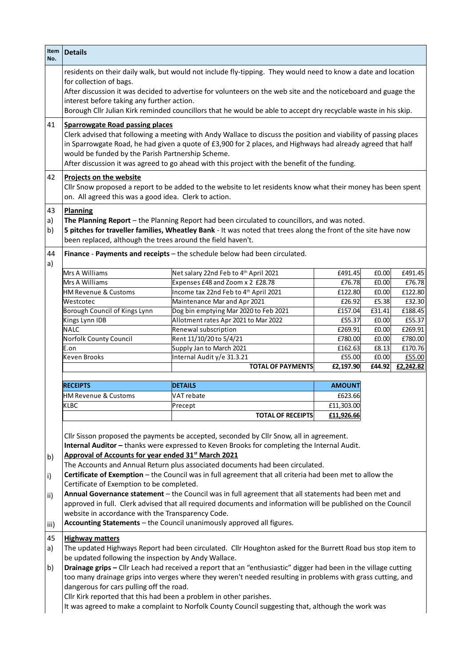| Item<br>No.          | <b>Details</b>                                                                                                                                                                                                                                                                                                                                                                                                                                                             |                                                                               |                   |                 |                   |  |  |
|----------------------|----------------------------------------------------------------------------------------------------------------------------------------------------------------------------------------------------------------------------------------------------------------------------------------------------------------------------------------------------------------------------------------------------------------------------------------------------------------------------|-------------------------------------------------------------------------------|-------------------|-----------------|-------------------|--|--|
|                      | residents on their daily walk, but would not include fly-tipping. They would need to know a date and location<br>for collection of bags.                                                                                                                                                                                                                                                                                                                                   |                                                                               |                   |                 |                   |  |  |
|                      | After discussion it was decided to advertise for volunteers on the web site and the noticeboard and guage the<br>interest before taking any further action.<br>Borough Cllr Julian Kirk reminded councillors that he would be able to accept dry recyclable waste in his skip.                                                                                                                                                                                             |                                                                               |                   |                 |                   |  |  |
| 41                   | <b>Sparrowgate Road passing places</b><br>Clerk advised that following a meeting with Andy Wallace to discuss the position and viability of passing places<br>in Sparrowgate Road, he had given a quote of £3,900 for 2 places, and Highways had already agreed that half<br>would be funded by the Parish Partnership Scheme.<br>After discussion it was agreed to go ahead with this project with the benefit of the funding.                                            |                                                                               |                   |                 |                   |  |  |
| 42                   | <b>Projects on the website</b><br>Cllr Snow proposed a report to be added to the website to let residents know what their money has been spent<br>on. All agreed this was a good idea. Clerk to action.                                                                                                                                                                                                                                                                    |                                                                               |                   |                 |                   |  |  |
| 43<br>a)<br>b)<br>44 | Planning<br>The Planning Report - the Planning Report had been circulated to councillors, and was noted.<br>5 pitches for traveller families, Wheatley Bank - It was noted that trees along the front of the site have now<br>been replaced, although the trees around the field haven't.<br>Finance - Payments and receipts - the schedule below had been circulated.                                                                                                     |                                                                               |                   |                 |                   |  |  |
| a)                   |                                                                                                                                                                                                                                                                                                                                                                                                                                                                            |                                                                               |                   |                 |                   |  |  |
|                      | Mrs A Williams                                                                                                                                                                                                                                                                                                                                                                                                                                                             | Net salary 22nd Feb to 4th April 2021                                         | £491.45           | E0.00           | £491.45           |  |  |
|                      | Mrs A Williams                                                                                                                                                                                                                                                                                                                                                                                                                                                             | Expenses £48 and Zoom x 2 £28.78                                              | £76.78            | E0.00           | £76.78            |  |  |
|                      | <b>HM Revenue &amp; Customs</b>                                                                                                                                                                                                                                                                                                                                                                                                                                            | Income tax 22nd Feb to 4th April 2021                                         | £122.80           | E0.00           | £122.80           |  |  |
|                      | Westcotec                                                                                                                                                                                                                                                                                                                                                                                                                                                                  | Maintenance Mar and Apr 2021                                                  | £26.92            | £5.38           | £32.30            |  |  |
|                      | Borough Council of Kings Lynn<br>Kings Lynn IDB                                                                                                                                                                                                                                                                                                                                                                                                                            | Dog bin emptying Mar 2020 to Feb 2021<br>Allotment rates Apr 2021 to Mar 2022 | £157.04<br>£55.37 | £31.41<br>E0.00 | £188.45<br>£55.37 |  |  |
|                      | <b>NALC</b>                                                                                                                                                                                                                                                                                                                                                                                                                                                                | Renewal subscription                                                          | £269.91           | E0.00           | £269.91           |  |  |
|                      | Norfolk County Council                                                                                                                                                                                                                                                                                                                                                                                                                                                     | Rent 11/10/20 to 5/4/21                                                       | £780.00           | E0.00           | £780.00           |  |  |
|                      | E.on                                                                                                                                                                                                                                                                                                                                                                                                                                                                       | Supply Jan to March 2021                                                      | £162.63           | E8.13           | £170.76           |  |  |
|                      | <b>Keven Brooks</b>                                                                                                                                                                                                                                                                                                                                                                                                                                                        | Internal Audit y/e 31.3.21                                                    | £55.00            | E0.00           | £55.00            |  |  |
|                      |                                                                                                                                                                                                                                                                                                                                                                                                                                                                            | <b>TOTAL OF PAYMENTS</b>                                                      | £2,197.90         | £44.92          | £2,242.82         |  |  |
|                      | <b>RECEIPTS</b>                                                                                                                                                                                                                                                                                                                                                                                                                                                            | <b>DETAILS</b>                                                                | <b>AMOUNT</b>     |                 |                   |  |  |
|                      | <b>HM Revenue &amp; Customs</b>                                                                                                                                                                                                                                                                                                                                                                                                                                            | VAT rebate                                                                    | £623.66           |                 |                   |  |  |
|                      | KLBC                                                                                                                                                                                                                                                                                                                                                                                                                                                                       | Precept                                                                       | £11,303.00        |                 |                   |  |  |
|                      |                                                                                                                                                                                                                                                                                                                                                                                                                                                                            | <b>TOTAL OF RECEIPTS</b>                                                      | £11,926.66        |                 |                   |  |  |
| b)                   | Cllr Sisson proposed the payments be accepted, seconded by Cllr Snow, all in agreement.<br>Internal Auditor - thanks were expressed to Keven Brooks for completing the Internal Audit.<br>Approval of Accounts for year ended 31 <sup>st</sup> March 2021<br>The Accounts and Annual Return plus associated documents had been circulated.                                                                                                                                 |                                                                               |                   |                 |                   |  |  |
| i)                   | Certificate of Exemption - the Council was in full agreement that all criteria had been met to allow the<br>Certificate of Exemption to be completed.                                                                                                                                                                                                                                                                                                                      |                                                                               |                   |                 |                   |  |  |
| ii)                  | Annual Governance statement - the Council was in full agreement that all statements had been met and<br>approved in full. Clerk advised that all required documents and information will be published on the Council<br>website in accordance with the Transparency Code.<br>Accounting Statements - the Council unanimously approved all figures.                                                                                                                         |                                                                               |                   |                 |                   |  |  |
| iii)                 |                                                                                                                                                                                                                                                                                                                                                                                                                                                                            |                                                                               |                   |                 |                   |  |  |
| 45<br>a)<br>b)       | <b>Highway matters</b><br>The updated Highways Report had been circulated. Cllr Houghton asked for the Burrett Road bus stop item to<br>be updated following the inspection by Andy Wallace.<br>Drainage grips - Cllr Leach had received a report that an "enthusiastic" digger had been in the village cutting<br>too many drainage grips into verges where they weren't needed resulting in problems with grass cutting, and<br>dangerous for cars pulling off the road. |                                                                               |                   |                 |                   |  |  |
|                      | Cllr Kirk reported that this had been a problem in other parishes.<br>It was agreed to make a complaint to Norfolk County Council suggesting that, although the work was                                                                                                                                                                                                                                                                                                   |                                                                               |                   |                 |                   |  |  |